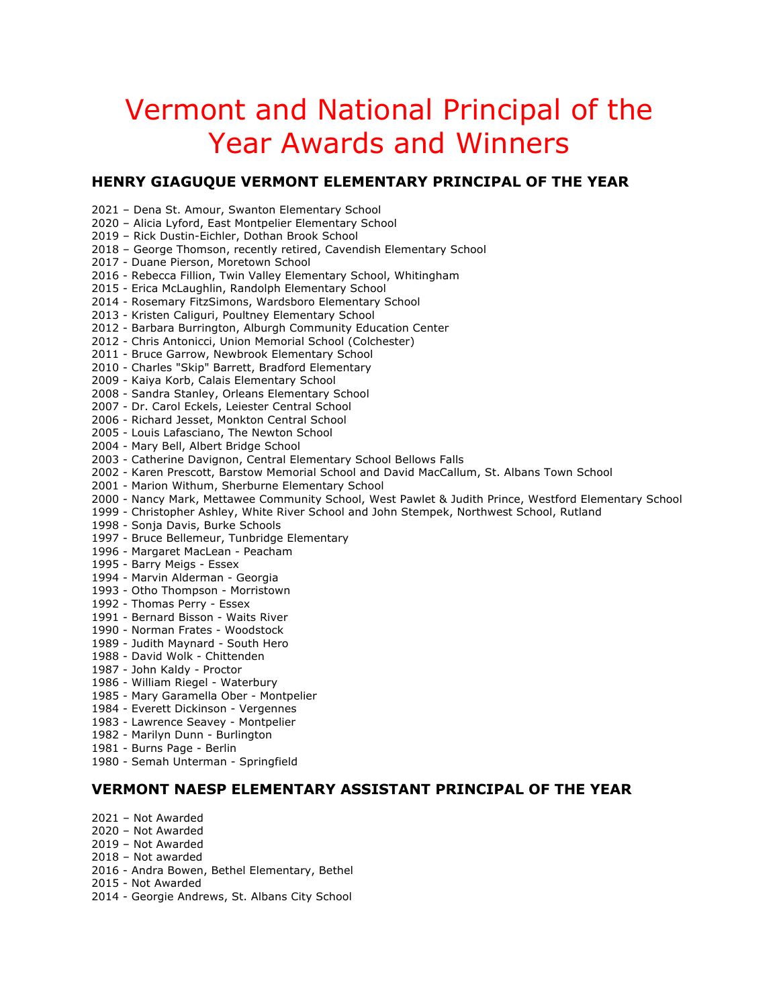# Vermont and National Principal of the Year Awards and Winners

# **HENRY GIAGUQUE VERMONT ELEMENTARY PRINCIPAL OF THE YEAR**

2021 – Dena St. Amour, Swanton Elementary School 2020 – Alicia Lyford, East Montpelier Elementary School

2019 – Rick Dustin-Eichler, Dothan Brook School

2018 – George Thomson, recently retired, Cavendish Elementary School

2017 - Duane Pierson, Moretown School

2016 - Rebecca Fillion, Twin Valley Elementary School, Whitingham

2015 - Erica McLaughlin, Randolph Elementary School

2014 - Rosemary FitzSimons, Wardsboro Elementary School

2013 - Kristen Caliguri, Poultney Elementary School

2012 - Barbara Burrington, Alburgh Community Education Center

- 2012 Chris Antonicci, Union Memorial School (Colchester)
- 2011 Bruce Garrow, Newbrook Elementary School
- 2010 Charles "Skip" Barrett, Bradford Elementary
- 2009 Kaiya Korb, Calais Elementary School
- 2008 Sandra Stanley, Orleans Elementary School
- 2007 Dr. Carol Eckels, Leiester Central School
- 2006 Richard Jesset, Monkton Central School
- 2005 Louis Lafasciano, The Newton School
- 2004 Mary Bell, Albert Bridge School
- 2003 Catherine Davignon, Central Elementary School Bellows Falls
- 2002 Karen Prescott, Barstow Memorial School and David MacCallum, St. Albans Town School
- 2001 Marion Withum, Sherburne Elementary School
- 2000 Nancy Mark, Mettawee Community School, West Pawlet & Judith Prince, Westford Elementary School
- 1999 Christopher Ashley, White River School and John Stempek, Northwest School, Rutland
- 1998 Sonja Davis, Burke Schools
- 1997 Bruce Bellemeur, Tunbridge Elementary
- 1996 Margaret MacLean Peacham
- 1995 Barry Meigs Essex
- 1994 Marvin Alderman Georgia
- 1993 Otho Thompson Morristown
- 1992 Thomas Perry Essex
- 1991 Bernard Bisson Waits River
- 1990 Norman Frates Woodstock
- 1989 Judith Maynard South Hero
- 1988 David Wolk Chittenden
- 1987 John Kaldy Proctor
- 1986 William Riegel Waterbury
- 1985 Mary Garamella Ober Montpelier
- 1984 Everett Dickinson Vergennes
- 1983 Lawrence Seavey Montpelier
- 1982 Marilyn Dunn Burlington
- 1981 Burns Page Berlin
- 1980 Semah Unterman Springfield

## **VERMONT NAESP ELEMENTARY ASSISTANT PRINCIPAL OF THE YEAR**

- 2021 Not Awarded
- 2020 Not Awarded
- 2019 Not Awarded
- 2018 Not awarded
- 2016 Andra Bowen, Bethel Elementary, Bethel
- 2015 Not Awarded
- 2014 Georgie Andrews, St. Albans City School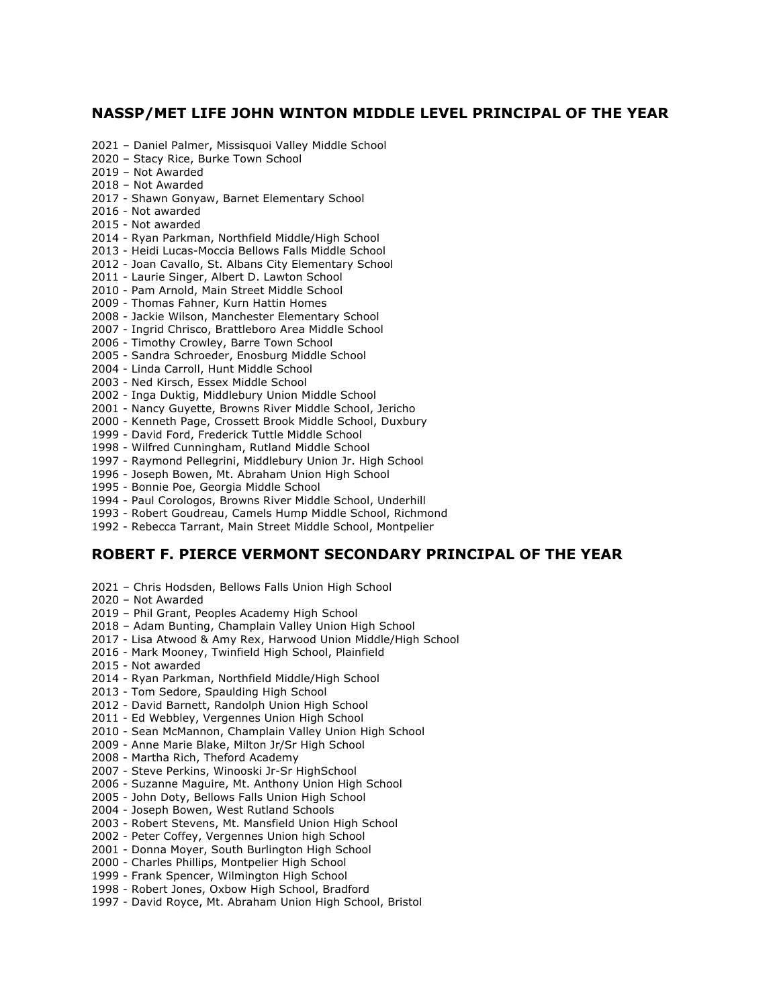## **NASSP/MET LIFE JOHN WINTON MIDDLE LEVEL PRINCIPAL OF THE YEAR**

- 2021 Daniel Palmer, Missisquoi Valley Middle School
- 2020 Stacy Rice, Burke Town School
- 2019 Not Awarded
- 2018 Not Awarded
- 2017 Shawn Gonyaw, Barnet Elementary School
- 2016 Not awarded
- 2015 Not awarded
- 2014 Ryan Parkman, Northfield Middle/High School
- 2013 Heidi Lucas-Moccia Bellows Falls Middle School
- 2012 Joan Cavallo, St. Albans City Elementary School
- 2011 Laurie Singer, Albert D. Lawton School
- 2010 Pam Arnold, Main Street Middle School
- 2009 Thomas Fahner, Kurn Hattin Homes
- 2008 Jackie Wilson, Manchester Elementary School
- 2007 Ingrid Chrisco, Brattleboro Area Middle School
- 2006 Timothy Crowley, Barre Town School
- 2005 Sandra Schroeder, Enosburg Middle School
- 2004 Linda Carroll, Hunt Middle School
- 2003 Ned Kirsch, Essex Middle School
- 2002 Inga Duktig, Middlebury Union Middle School
- 2001 Nancy Guyette, Browns River Middle School, Jericho
- 2000 Kenneth Page, Crossett Brook Middle School, Duxbury
- 1999 David Ford, Frederick Tuttle Middle School
- 1998 Wilfred Cunningham, Rutland Middle School
- 1997 Raymond Pellegrini, Middlebury Union Jr. High School
- 1996 Joseph Bowen, Mt. Abraham Union High School
- 1995 Bonnie Poe, Georgia Middle School
- 1994 Paul Corologos, Browns River Middle School, Underhill
- 1993 Robert Goudreau, Camels Hump Middle School, Richmond
- 1992 Rebecca Tarrant, Main Street Middle School, Montpelier

#### **ROBERT F. PIERCE VERMONT SECONDARY PRINCIPAL OF THE YEAR**

- 2021 Chris Hodsden, Bellows Falls Union High School
- 2020 Not Awarded
- 2019 Phil Grant, Peoples Academy High School
- 2018 Adam Bunting, Champlain Valley Union High School
- 2017 Lisa Atwood & Amy Rex, Harwood Union Middle/High School
- 2016 Mark Mooney, Twinfield High School, Plainfield
- 2015 Not awarded
- 2014 Ryan Parkman, Northfield Middle/High School
- 2013 Tom Sedore, Spaulding High School
- 2012 David Barnett, Randolph Union High School
- 2011 Ed Webbley, Vergennes Union High School
- 2010 Sean McMannon, Champlain Valley Union High School
- 2009 Anne Marie Blake, Milton Jr/Sr High School
- 2008 Martha Rich, Theford Academy
- 2007 Steve Perkins, Winooski Jr-Sr HighSchool
- 2006 Suzanne Maguire, Mt. Anthony Union High School
- 2005 John Doty, Bellows Falls Union High School
- 2004 Joseph Bowen, West Rutland Schools
- 2003 Robert Stevens, Mt. Mansfield Union High School
- 2002 Peter Coffey, Vergennes Union high School
- 2001 Donna Moyer, South Burlington High School
- 2000 Charles Phillips, Montpelier High School
- 1999 Frank Spencer, Wilmington High School
- 1998 Robert Jones, Oxbow High School, Bradford
- 1997 David Royce, Mt. Abraham Union High School, Bristol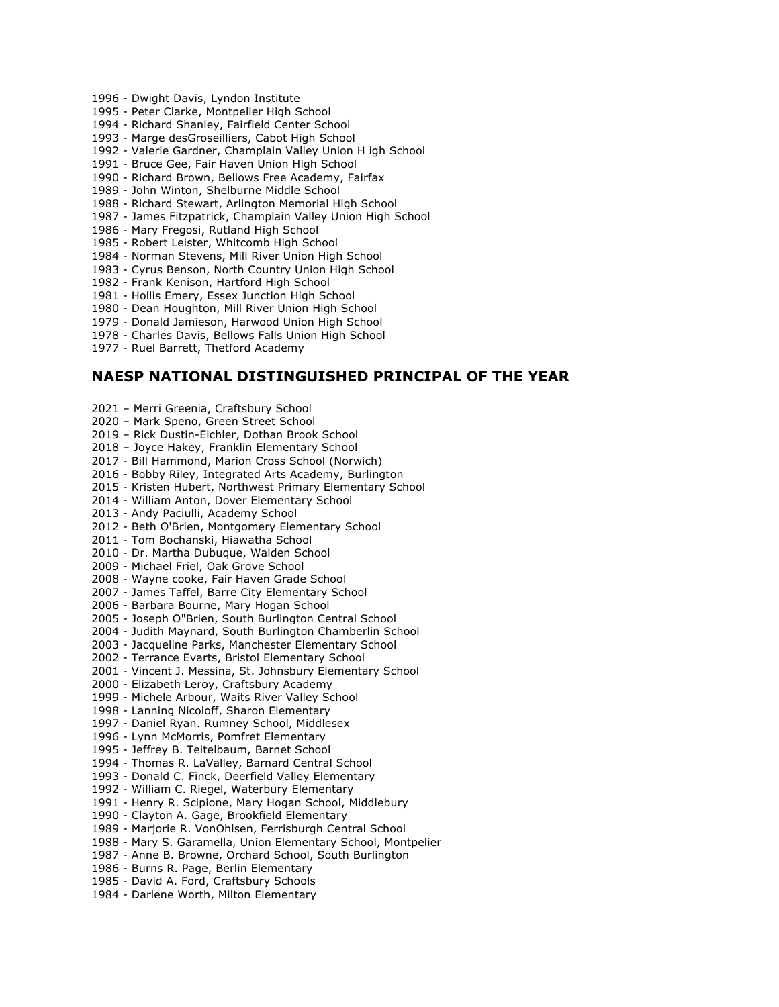- 1996 Dwight Davis, Lyndon Institute
- 1995 Peter Clarke, Montpelier High School
- 1994 Richard Shanley, Fairfield Center School
- 1993 Marge desGroseilliers, Cabot High School
- 1992 Valerie Gardner, Champlain Valley Union H igh School
- 1991 Bruce Gee, Fair Haven Union High School
- 1990 Richard Brown, Bellows Free Academy, Fairfax
- 1989 John Winton, Shelburne Middle School
- 1988 Richard Stewart, Arlington Memorial High School
- 1987 James Fitzpatrick, Champlain Valley Union High School
- 1986 Mary Fregosi, Rutland High School
- 1985 Robert Leister, Whitcomb High School
- 1984 Norman Stevens, Mill River Union High School
- 1983 Cyrus Benson, North Country Union High School
- 1982 Frank Kenison, Hartford High School
- 1981 Hollis Emery, Essex Junction High School
- 1980 Dean Houghton, Mill River Union High School
- 1979 Donald Jamieson, Harwood Union High School
- 1978 Charles Davis, Bellows Falls Union High School
- 1977 Ruel Barrett, Thetford Academy

#### **NAESP NATIONAL DISTINGUISHED PRINCIPAL OF THE YEAR**

2021 – Merri Greenia, Craftsbury School 2020 – Mark Speno, Green Street School 2019 – Rick Dustin-Eichler, Dothan Brook School 2018 – Joyce Hakey, Franklin Elementary School 2017 - Bill Hammond, Marion Cross School (Norwich) 2016 - Bobby Riley, Integrated Arts Academy, Burlington 2015 - Kristen Hubert, Northwest Primary Elementary School 2014 - William Anton, Dover Elementary School 2013 - Andy Paciulli, Academy School 2012 - Beth O'Brien, Montgomery Elementary School 2011 - Tom Bochanski, Hiawatha School 2010 - Dr. Martha Dubuque, Walden School 2009 - Michael Friel, Oak Grove School 2008 - Wayne cooke, Fair Haven Grade School 2007 - James Taffel, Barre City Elementary School 2006 - Barbara Bourne, Mary Hogan School 2005 - Joseph O"Brien, South Burlington Central School 2004 - Judith Maynard, South Burlington Chamberlin School 2003 - Jacqueline Parks, Manchester Elementary School 2002 - Terrance Evarts, Bristol Elementary School 2001 - Vincent J. Messina, St. Johnsbury Elementary School 2000 - Elizabeth Leroy, Craftsbury Academy 1999 - Michele Arbour, Waits River Valley School 1998 - Lanning Nicoloff, Sharon Elementary 1997 - Daniel Ryan. Rumney School, Middlesex 1996 - Lynn McMorris, Pomfret Elementary 1995 - Jeffrey B. Teitelbaum, Barnet School 1994 - Thomas R. LaValley, Barnard Central School 1993 - Donald C. Finck, Deerfield Valley Elementary 1992 - William C. Riegel, Waterbury Elementary 1991 - Henry R. Scipione, Mary Hogan School, Middlebury 1990 - Clayton A. Gage, Brookfield Elementary 1989 - Marjorie R. VonOhlsen, Ferrisburgh Central School 1988 - Mary S. Garamella, Union Elementary School, Montpelier 1987 - Anne B. Browne, Orchard School, South Burlington 1986 - Burns R. Page, Berlin Elementary 1985 - David A. Ford, Craftsbury Schools 1984 - Darlene Worth, Milton Elementary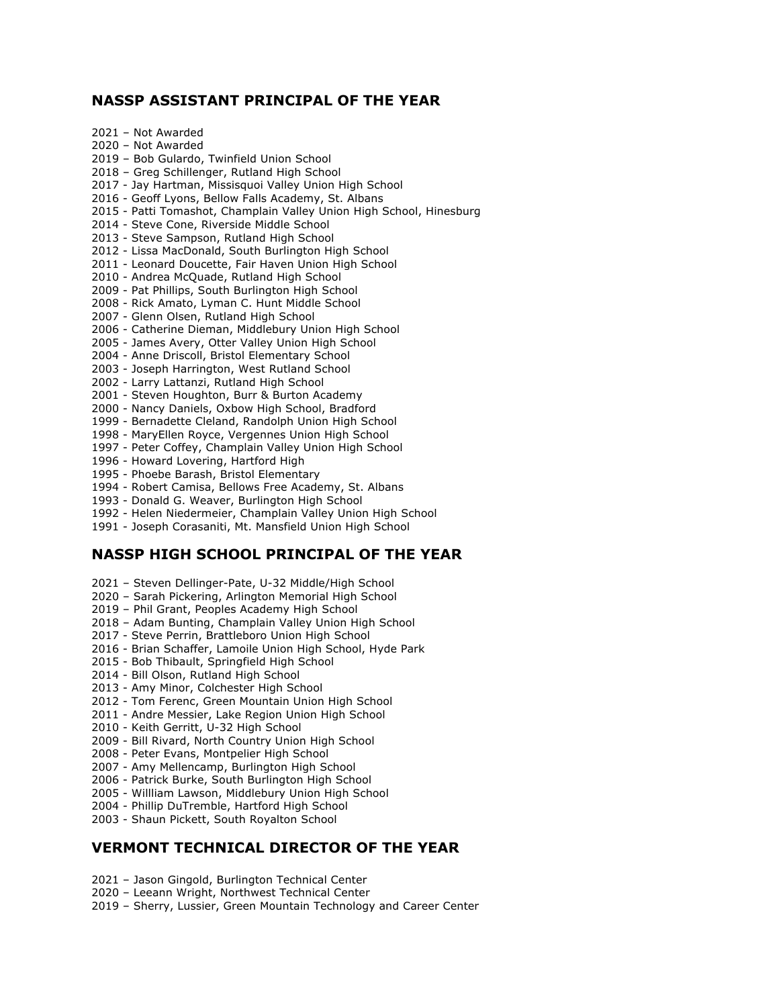## **NASSP ASSISTANT PRINCIPAL OF THE YEAR**

2021 – Not Awarded 2020 – Not Awarded 2019 – Bob Gulardo, Twinfield Union School 2018 – Greg Schillenger, Rutland High School 2017 - Jay Hartman, Missisquoi Valley Union High School 2016 - Geoff Lyons, Bellow Falls Academy, St. Albans 2015 - Patti Tomashot, Champlain Valley Union High School, Hinesburg 2014 - Steve Cone, Riverside Middle School 2013 - Steve Sampson, Rutland High School 2012 - Lissa MacDonald, South Burlington High School 2011 - Leonard Doucette, Fair Haven Union High School 2010 - Andrea McQuade, Rutland High School 2009 - Pat Phillips, South Burlington High School 2008 - Rick Amato, Lyman C. Hunt Middle School 2007 - Glenn Olsen, Rutland High School 2006 - Catherine Dieman, Middlebury Union High School 2005 - James Avery, Otter Valley Union High School 2004 - Anne Driscoll, Bristol Elementary School 2003 - Joseph Harrington, West Rutland School 2002 - Larry Lattanzi, Rutland High School 2001 - Steven Houghton, Burr & Burton Academy 2000 - Nancy Daniels, Oxbow High School, Bradford 1999 - Bernadette Cleland, Randolph Union High School 1998 - MaryEllen Royce, Vergennes Union High School

- 1997 Peter Coffey, Champlain Valley Union High School
- 1996 Howard Lovering, Hartford High
- 1995 Phoebe Barash, Bristol Elementary
- 1994 Robert Camisa, Bellows Free Academy, St. Albans
- 1993 Donald G. Weaver, Burlington High School
- 1992 Helen Niedermeier, Champlain Valley Union High School
- 1991 Joseph Corasaniti, Mt. Mansfield Union High School

## **NASSP HIGH SCHOOL PRINCIPAL OF THE YEAR**

- 2021 Steven Dellinger-Pate, U-32 Middle/High School
- 2020 Sarah Pickering, Arlington Memorial High School
- 2019 Phil Grant, Peoples Academy High School
- 2018 Adam Bunting, Champlain Valley Union High School
- 2017 Steve Perrin, Brattleboro Union High School
- 2016 Brian Schaffer, Lamoile Union High School, Hyde Park
- 2015 Bob Thibault, Springfield High School
- 2014 Bill Olson, Rutland High School
- 2013 Amy Minor, Colchester High School
- 2012 Tom Ferenc, Green Mountain Union High School
- 2011 Andre Messier, Lake Region Union High School
- 2010 Keith Gerritt, U-32 High School
- 2009 Bill Rivard, North Country Union High School
- 2008 Peter Evans, Montpelier High School
- 2007 Amy Mellencamp, Burlington High School
- 2006 Patrick Burke, South Burlington High School
- 2005 Willliam Lawson, Middlebury Union High School
- 2004 Phillip DuTremble, Hartford High School
- 2003 Shaun Pickett, South Royalton School

## **VERMONT TECHNICAL DIRECTOR OF THE YEAR**

- 2021 Jason Gingold, Burlington Technical Center
- 2020 Leeann Wright, Northwest Technical Center
- 2019 Sherry, Lussier, Green Mountain Technology and Career Center